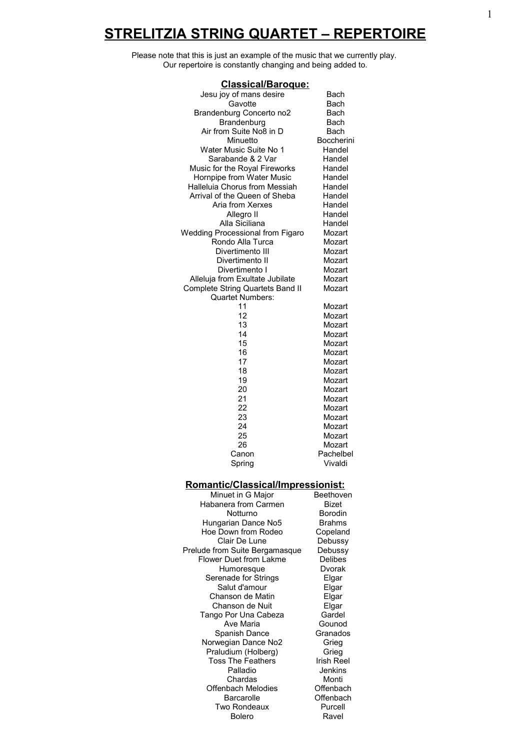# **STRELITZIA STRING QUARTET – REPERTOIRE**

Please note that this is just an example of the music that we currently play. Our repertoire is constantly changing and being added to.

| <u>Classical/Baroque:</u>                |                  |  |
|------------------------------------------|------------------|--|
| Jesu joy of mans desire                  | Bach             |  |
| Gavotte                                  | Bach             |  |
| Brandenburg Concerto no2                 | Bach             |  |
| Brandenburg                              | Bach             |  |
| Air from Suite No8 in D                  | <b>Bach</b>      |  |
| Minuetto                                 | Boccherini       |  |
| Water Music Suite No 1                   | Handel           |  |
| Sarabande & 2 Var                        | Handel           |  |
| Music for the Royal Fireworks            | Handel           |  |
| Hornpipe from Water Music                | Handel           |  |
| Halleluia Chorus from Messiah            | Handel           |  |
| Arrival of the Queen of Sheba            | Handel           |  |
| Aria from Xerxes                         | Handel           |  |
| Allegro II                               | Handel           |  |
| Alla Siciliana                           | Handel           |  |
| <b>Wedding Processional from Figaro</b>  | Mozart           |  |
| Rondo Alla Turca                         | Mozart           |  |
| Divertimento III                         | Mozart           |  |
| Divertimento II                          | Mozart           |  |
| Divertimento I                           | Mozart           |  |
| Alleluja from Exultate Jubilate          | Mozart           |  |
| Complete String Quartets Band II         | Mozart           |  |
| <b>Quartet Numbers:</b>                  |                  |  |
| 11<br>12                                 | Mozart           |  |
| 13                                       | Mozart           |  |
| 14                                       | Mozart<br>Mozart |  |
| 15                                       | Mozart           |  |
| 16                                       | Mozart           |  |
| 17                                       | Mozart           |  |
| 18                                       | Mozart           |  |
| 19                                       | Mozart           |  |
| 20                                       | Mozart           |  |
| 21                                       | Mozart           |  |
| 22                                       | Mozart           |  |
| 23                                       | Mozart           |  |
| 24                                       | Mozart           |  |
| 25                                       | Mozart           |  |
| 26                                       | Mozart           |  |
| Canon                                    | Pachelbel        |  |
| Spring                                   | Vivaldi          |  |
| <b>Romantic/Classical/Impressionist:</b> |                  |  |

#### **Romantic/Classical/Impressionist:**

| Minuet in G Major              | Beethove       |
|--------------------------------|----------------|
| Habanera from Carmen           | Bizet          |
| Notturno                       | <b>Borodin</b> |
| Hungarian Dance No5            | <b>Brahms</b>  |
| Hoe Down from Rodeo            | Copeland       |
| Clair De Lune                  | Debussy        |
| Prelude from Suite Bergamasque | Debussy        |
| Flower Duet from Lakme         | Delibes        |
| Humoresque                     | Dvorak         |
| Serenade for Strings           | Elgar          |
| Salut d'amour                  | Elgar          |
| Chanson de Matin               | Elgar          |
| Chanson de Nuit                | Elgar          |
| Tango Por Una Cabeza           | Gardel         |
| Ave Maria                      | Gounod         |
| Spanish Dance                  | Granados       |
| Norwegian Dance No2            | Grieg          |
| Praludium (Holberg)            | Grieg          |
| <b>Toss The Feathers</b>       | Irish Ree      |
| Palladio                       | Jenkins        |
| Chardas                        | Monti          |
| Offenbach Melodies             | Offenbacl      |
| Barcarolle                     | Offenbacl      |
| Two Rondeaux                   | Purcell        |
| <b>Bolero</b>                  | Ravel          |
|                                |                |

<u>pressionist.</u><br>Beethoven eland ussy<br>ussy orak Inod ados Reel kins<br><sup>onti</sup> hbach ibach<br><sup>'</sup>cell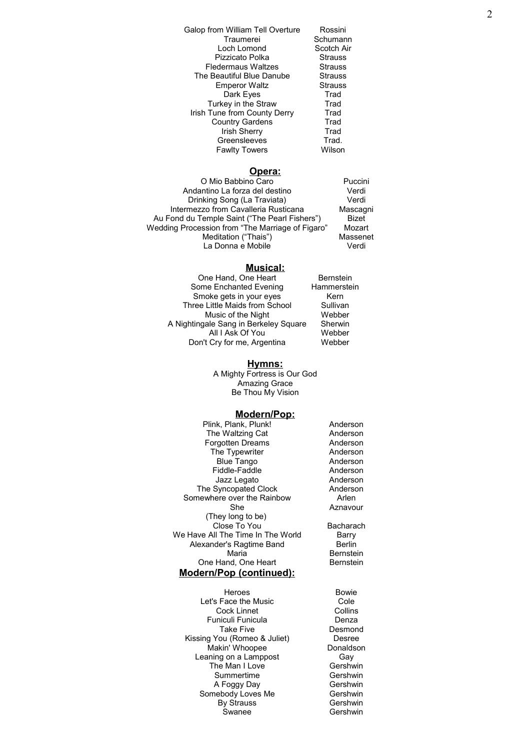| Galop from William Tell Overture | Rossini        |
|----------------------------------|----------------|
| Traumerei                        | Schumann       |
| Loch Lomond                      | Scotch Air     |
| Pizzicato Polka                  | <b>Strauss</b> |
| <b>Fledermaus Waltzes</b>        | <b>Strauss</b> |
| The Beautiful Blue Danube        | <b>Strauss</b> |
| <b>Emperor Waltz</b>             | <b>Strauss</b> |
| Dark Eyes                        | Trad           |
| Turkey in the Straw              | Trad           |
| Irish Tune from County Derry     | Trad           |
| <b>Country Gardens</b>           | Trad           |
| <b>Irish Sherry</b>              | Trad           |
| Greensleeves                     | Trad.          |
| <b>Fawlty Towers</b>             | Wilson         |

#### **Opera:**

| O Mio Babbino Caro                               | Puccini      |
|--------------------------------------------------|--------------|
| Andantino La forza del destino                   | Verdi        |
| Drinking Song (La Traviata)                      | Verdi        |
| Intermezzo from Cavalleria Rusticana             | Mascagni     |
| Au Fond du Temple Saint ("The Pearl Fishers")    | <b>Bizet</b> |
| Wedding Procession from "The Marriage of Figaro" | Mozart       |
| Meditation ("Thais")                             | Massenet     |
| La Donna e Mobile                                | Verdi        |
|                                                  |              |

### **Musical:**

| One Hand, One Heart                   | <b>Bernstein</b> |
|---------------------------------------|------------------|
| Some Enchanted Evening                | Hammerstein      |
| Smoke gets in your eyes               | Kern             |
| Three Little Maids from School        | Sullivan         |
| Music of the Night                    | Webber           |
| A Nightingale Sang in Berkeley Square | Sherwin          |
| All I Ask Of You                      | Webber           |
| Don't Cry for me, Argentina           | Webber           |

#### **Hymns:**

A Mighty Fortress is Our God Amazing Grace Be Thou My Vision

#### **Modern/Pop:**

| Plink, Plank, Plunk!              | Anderson         |
|-----------------------------------|------------------|
| The Waltzing Cat                  | Anderson         |
| Forgotten Dreams                  | Anderson         |
| The Typewriter                    | Anderson         |
| <b>Blue Tango</b>                 | Anderson         |
| Fiddle-Faddle                     | Anderson         |
| Jazz Legato                       | Anderson         |
| The Syncopated Clock              | Anderson         |
| Somewhere over the Rainbow        | Arlen            |
| She                               | Aznavour         |
| (They long to be)                 |                  |
| Close To You                      | Bacharach        |
| We Have All The Time In The World | Barry            |
| Alexander's Ragtime Band          | Berlin           |
| Maria                             | <b>Bernstein</b> |
| One Hand, One Heart               | <b>Bernstein</b> |
| <u>Modern/Pop (continued):</u>    |                  |
|                                   |                  |

Heroes Bowie<br>Face the Music **Bowie** Cole Let's Face the Music Cole<br>Cock Linnet Collins Cock Linnet<br>
uniculi Funicula<br>
Denza Funiculi Funicula<br>Take Five Kissing You (Romeo & Juliet) Desree<br>Makin' Whoopee Donaldson Makin' Whoopee Donalds<br>
aning on a Lamppost Gay Leaning on a Lamppost Gay<br>
The Man I Love Gershwin The Man I Love Summertime Gershwin A Foggy Day<br>
nebody Loves Me

Gershwin Somebody Loves Me Gershwin<br>By Strauss Gershwin By Strauss Swanee Gershwin

Desmond<br>Desree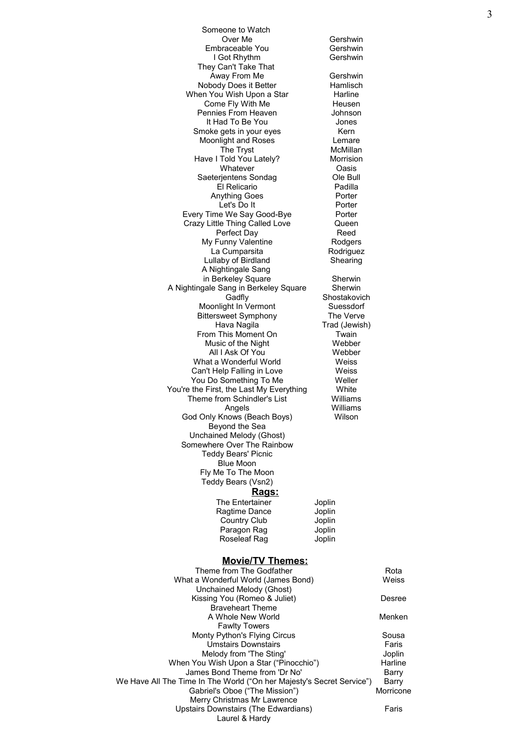| Someone to Watch                                                         |                            |                |
|--------------------------------------------------------------------------|----------------------------|----------------|
| Over Me                                                                  | Gershwin                   |                |
| Embraceable You<br>I Got Rhythm                                          | Gershwin<br>Gershwin       |                |
| They Can't Take That                                                     |                            |                |
| Away From Me                                                             | Gershwin                   |                |
| Nobody Does it Better                                                    | Hamlisch                   |                |
| When You Wish Upon a Star                                                | Harline                    |                |
| Come Fly With Me<br>Pennies From Heaven                                  | Heusen<br>Johnson          |                |
| It Had To Be You                                                         | Jones                      |                |
| Smoke gets in your eyes                                                  | Kern                       |                |
| Moonlight and Roses                                                      | Lemare                     |                |
| The Tryst<br>Have I Told You Lately?                                     | McMillan<br>Morrision      |                |
| Whatever                                                                 | Oasis                      |                |
| Saeterjentens Sondag                                                     | Ole Bull                   |                |
| El Relicario                                                             | Padilla                    |                |
| <b>Anything Goes</b>                                                     | Porter                     |                |
| Let's Do It<br>Every Time We Say Good-Bye                                | Porter<br>Porter           |                |
| Crazy Little Thing Called Love                                           | Queen                      |                |
| Perfect Day                                                              | Reed                       |                |
| My Funny Valentine                                                       | Rodgers                    |                |
| La Cumparsita                                                            | Rodriguez                  |                |
| Lullaby of Birdland<br>A Nightingale Sang                                | Shearing                   |                |
| in Berkeley Square                                                       | Sherwin                    |                |
| A Nightingale Sang in Berkeley Square                                    | Sherwin                    |                |
| Gadfly                                                                   | Shostakovich               |                |
| Moonlight In Vermont                                                     | Suessdorf                  |                |
| <b>Bittersweet Symphony</b><br>Hava Nagila                               | The Verve<br>Trad (Jewish) |                |
| From This Moment On                                                      | Twain                      |                |
| Music of the Night                                                       | Webber                     |                |
| All I Ask Of You                                                         | Webber                     |                |
| What a Wonderful World                                                   | Weiss                      |                |
| Can't Help Falling in Love<br>You Do Something To Me                     | Weiss<br>Weller            |                |
| You're the First, the Last My Everything                                 | White                      |                |
| Theme from Schindler's List                                              | Williams                   |                |
| Angels                                                                   | Williams                   |                |
| God Only Knows (Beach Boys)                                              | Wilson                     |                |
| Beyond the Sea<br>Unchained Melody (Ghost)                               |                            |                |
| Somewhere Over The Rainbow                                               |                            |                |
| <b>Teddy Bears' Picnic</b>                                               |                            |                |
| <b>Blue Moon</b>                                                         |                            |                |
| Fly Me To The Moon<br>Teddy Bears (Vsn2)                                 |                            |                |
| <u>Rags:</u>                                                             |                            |                |
| The Entertainer                                                          | Joplin                     |                |
| Ragtime Dance                                                            | Joplin                     |                |
| <b>Country Club</b>                                                      | Joplin                     |                |
| Paragon Rag                                                              | Joplin                     |                |
| Roseleaf Rag                                                             | Joplin                     |                |
| <b>Movie/TV Themes:</b>                                                  |                            |                |
| Theme from The Godfather                                                 |                            | Rota           |
| What a Wonderful World (James Bond)                                      |                            | Weiss          |
| Unchained Melody (Ghost)                                                 |                            |                |
| Kissing You (Romeo & Juliet)                                             |                            | Desree         |
| <b>Braveheart Theme</b>                                                  |                            |                |
| A Whole New World<br><b>Fawlty Towers</b>                                |                            | Menken         |
| Monty Python's Flying Circus                                             |                            | Sousa          |
| Umstairs Downstairs                                                      |                            | Faris          |
| Melody from 'The Sting'                                                  |                            | Joplin         |
| When You Wish Upon a Star ("Pinocchio")<br>James Bond Theme from 'Dr No' |                            | Harline        |
| We Have All The Time In The World ("On her Majesty's Secret Service")    |                            | Barry<br>Barry |
| Gabriel's Oboe ("The Mission")                                           |                            | Morricone      |
| Merry Christmas Mr Lawrence                                              |                            |                |
| Upstairs Downstairs (The Edwardians)                                     |                            | Faris          |
| Laurel & Hardy                                                           |                            |                |
|                                                                          |                            |                |